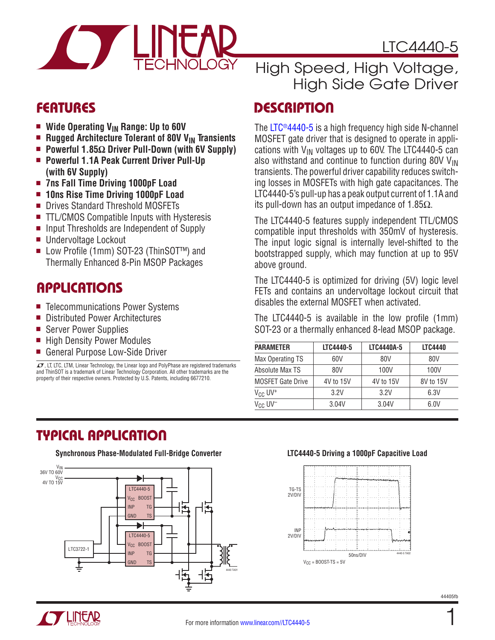

LTC4440-5

- Wide Operating V<sub>IN</sub> Range: Up to 60V
- Rugged Architecture Tolerant of 80V V<sub>IN</sub> Transients
- Powerful 1.85Ω Driver Pull-Down (with 6V Supply)
- Powerful 1.1A Peak Current Driver Pull-Up **(with 6V Supply)**
- <sup>n</sup> **7ns Fall Time Driving 1000pF Load**
- **n** 10ns Rise Time Driving 1000pF Load
- Drives Standard Threshold MOSFETs
- $\blacksquare$  TTL/CMOS Compatible Inputs with Hysteresis
- Input Thresholds are Independent of Supply
- Undervoltage Lockout
- Low Profile (1mm) SOT-23 (ThinSOT<sup>™</sup>) and Thermally Enhanced 8-Pin MSOP Packages

### **APPLICATIONS**

- Telecommunications Power Systems
- Distributed Power Architectures
- Server Power Supplies
- High Density Power Modules
- General Purpose Low-Side Driver

 $I$ , LT, LTC, LTM, Linear Technology, the Linear logo and PolyPhase are registered trademarks and ThinSOT is a trademark of Linear Technology Corporation. All other trademarks are the property of their respective owners. Protected by U.S. Patents, including 6677210.

# High Speed, High Voltage, High Side Gate Driver

### Features Description

The [LTC®4440-5](http://www.linear.com/LTC4440-5) is a high frequency high side N-channel MOSFET gate driver that is designed to operate in applications with  $V_{IN}$  voltages up to 60V. The LTC4440-5 can also withstand and continue to function during 80V  $V_{\text{IN}}$ transients. The powerful driver capability reduces switching losses in MOSFETs with high gate capacitances. The LTC4440-5's pull-up has a peak output current of 1.1A and its pull-down has an output impedance of 1.85 $\Omega$ .

The LTC4440-5 features supply independent TTL/CMOS compatible input thresholds with 350mV of hysteresis. The input logic signal is internally level-shifted to the bootstrapped supply, which may function at up to 95V above ground.

The LTC4440-5 is optimized for driving (5V) logic level FETs and contains an undervoltage lockout circuit that disables the external MOSFET when activated.

The LTC4440-5 is available in the low profile (1mm) SOT-23 or a thermally enhanced 8-lead MSOP package.

| <b>PARAMETER</b>              | LTC4440-5 | LTC4440A-5 | <b>LTC4440</b> |
|-------------------------------|-----------|------------|----------------|
| Max Operating TS              | 60V       | 80V        | 80V            |
| Absolute Max TS               | 80V       | 100V       | 100V           |
| <b>MOSFET Gate Drive</b>      | 4V to 15V | 4V to 15V  | 8V to 15V      |
| $V_{CC}$ UV <sup>+</sup>      | 3.2V      | 3.2V       | 6.3V           |
| $V_{\rm GC}$ UV <sup>-1</sup> | 3.04V     | 3.04V      | 6.0V           |

## Typical Application

**Synchronous Phase-Modulated Full-Bridge Converter LTC4440-5 Driving a 1000pF Capacitive Load**





1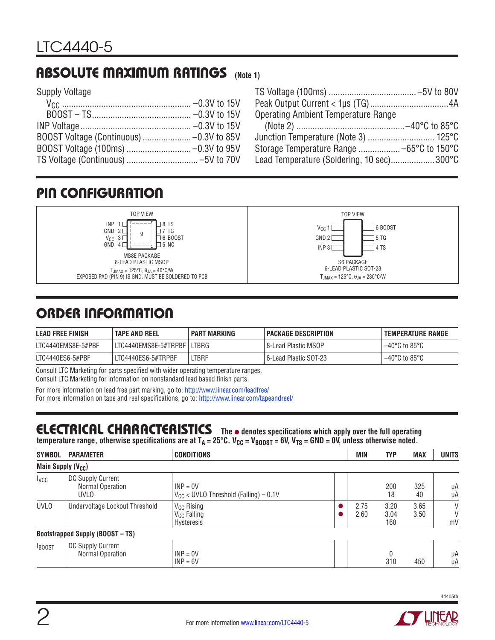# Absolute Maximum Ratings **(Note 1)**

Supply Voltage

| <b>Operating Ambient Temperature Range</b> |  |
|--------------------------------------------|--|
|                                            |  |
|                                            |  |
|                                            |  |
| Lead Temperature (Soldering, 10 sec)300°C  |  |

# Pin Configuration





# Order Information

| <b>LEAD FREE FINISH</b> | <b>TAPE AND REEL</b>  | <b>PART MARKING</b> | I PACKAGE DESCRIPTION   | <b>TEMPERATURE RANGE</b>           |
|-------------------------|-----------------------|---------------------|-------------------------|------------------------------------|
| LTC4440EMS8E-5#PBF      | LTC4440EMS8E-5#TRPBFI | LTBRG               | l 8-Lead Plastic MSOP   | $-40^{\circ}$ C to 85 $^{\circ}$ C |
| LTC4440ES6-5#PBF        | LTC4440ES6-5#TRPBF    | <b>LTBRF</b>        | l 6-Lead Plastic SOT-23 | $-40^{\circ}$ C to 85 $^{\circ}$ C |

Consult LTC Marketing for parts specified with wider operating temperature ranges. Consult LTC Marketing for information on nonstandard lead based finish parts.

For more information on lead free part marking, go to: http://www.linear.com/leadfree/ For more information on tape and reel specifications, go to: http://www.linear.com/tapeandreel/

#### ELECTRICAL CHARACTERISTICS The  $\bullet$  denotes specifications which apply over the full operating temperature range, otherwise specifications are at  $T_A = 25^\circ C$ .  $V_{CC} = V_{B00ST} = 6V$ ,  $V_{TS} = GND = 0V$ , unless otherwise noted.

| <b>SYMBOL</b>                  | <b>PARAMETER</b>                              | <b>CONDITIONS</b>                                               | <b>MIN</b>   | <b>TYP</b>          | <b>MAX</b>   | <b>UNITS</b> |
|--------------------------------|-----------------------------------------------|-----------------------------------------------------------------|--------------|---------------------|--------------|--------------|
| Main Supply (V <sub>CC</sub> ) |                                               |                                                                 |              |                     |              |              |
| <b>I</b> vcc                   | DC Supply Current<br>Normal Operation<br>UVLO | $INP = 0V$<br>$V_{CC}$ < UVLO Threshold (Falling) - 0.1V        |              | 200<br>18           | 325<br>40    | μA<br>μA     |
| <b>UVLO</b>                    | Undervoltage Lockout Threshold                | V <sub>CC</sub> Rising<br>V <sub>CC</sub> Falling<br>Hysteresis | 2.75<br>2.60 | 3.20<br>3.04<br>160 | 3.65<br>3.50 | V<br>V<br>mV |
|                                | <b>Bootstrapped Supply (BOOST - TS)</b>       |                                                                 |              |                     |              |              |
| <b>BOOST</b>                   | DC Supply Current<br>Normal Operation         | $INP = 0V$<br>$INP = 6V$                                        |              | $\Omega$<br>310     | 450          | μA<br>μA     |

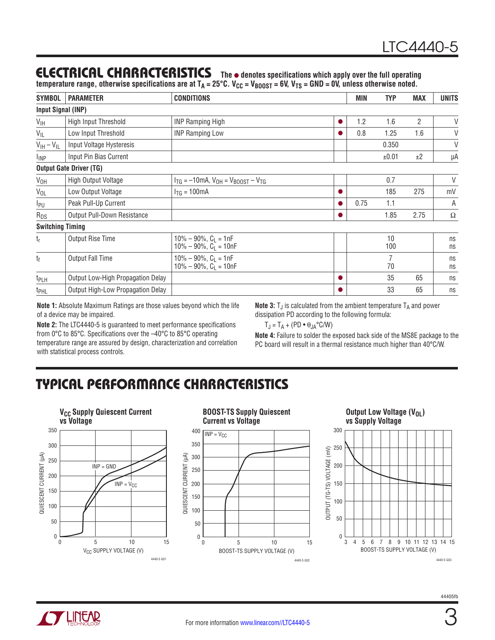### **ELECTRICAL CHARACTERISTICS** The  $\bullet$  denotes specifications which apply over the full operating

temperature range, otherwise specifications are at T<sub>A</sub> = 25°C. V<sub>CC</sub> = V<sub>BOOST</sub> = 6V, V<sub>TS</sub> = GND = 0V, unless otherwise noted.

| <b>SYMBOL</b>                   | <b>PARAMETER</b>                  | <b>CONDITIONS</b>                                           |           | <b>MIN</b> | <b>TYP</b> | <b>MAX</b>     | <b>UNITS</b> |
|---------------------------------|-----------------------------------|-------------------------------------------------------------|-----------|------------|------------|----------------|--------------|
| <b>Input Signal (INP)</b>       |                                   |                                                             |           |            |            |                |              |
| $V_{\text{IH}}$                 | High Input Threshold              | <b>INP Ramping High</b>                                     | $\bullet$ | 1.2        | 1.6        | $\overline{2}$ | V            |
| V <sub>IL</sub>                 | Low Input Threshold               | <b>INP Ramping Low</b>                                      |           | 0.8        | 1.25       | 1.6            | $\vee$       |
| $V_{\text{IH}} - V_{\text{IL}}$ | Input Voltage Hysteresis          |                                                             |           |            | 0.350      |                | V            |
| <sup>I</sup> INP                | Input Pin Bias Current            |                                                             |           |            | ±0.01      | ±2             | μA           |
|                                 | <b>Output Gate Driver (TG)</b>    |                                                             |           |            |            |                |              |
| $V_{OH}$                        | High Output Voltage               | $I_{TG} = -10mA$ , $V_{OH} = V_{BOOST} - V_{TG}$            |           |            | 0.7        |                | V            |
| $V_{OL}$                        | Low Output Voltage                | $I_{TG} = 100mA$                                            |           |            | 185        | 275            | mV           |
| I <sub>PU</sub>                 | Peak Pull-Up Current              |                                                             |           | 0.75       | 1.1        |                | А            |
| $R_{DS}$                        | Output Pull-Down Resistance       |                                                             |           |            | 1.85       | 2.75           | $\Omega$     |
| <b>Switching Timing</b>         |                                   |                                                             |           |            |            |                |              |
| $t_{r}$                         | Output Rise Time                  | $10\% - 90\%$ , $C_L = 1nF$<br>$10\% - 90\%$ , $C_1 = 10nF$ |           |            | 10<br>100  |                | ns<br>ns     |
| $t_{\rm f}$                     | Output Fall Time                  | $10\% - 90\%$ , $C_L = 1nF$<br>$10\% - 90\%$ , $C_1 = 10nF$ |           |            | 7<br>70    |                | ns<br>ns     |
| t <sub>PLH</sub>                | Output Low-High Propagation Delay |                                                             |           |            | 35         | 65             | ns           |
| t <sub>PHL</sub>                | Output High-Low Propagation Delay |                                                             |           |            | 33         | 65             | ns           |

**Note 1:** Absolute Maximum Ratings are those values beyond which the life of a device may be impaired.

**Note 3:**  $T_J$  is calculated from the ambient temperature  $T_A$  and power dissipation PD according to the following formula:

 $T_J = T_A + (PD \cdot \theta_{JA}^{\circ} C/W)$ 

**Note 2:** The LTC4440-5 is guaranteed to meet performance specifications from 0°C to 85°C. Specifications over the –40°C to 85°C operating temperature range are assured by design, characterization and correlation with statistical process controls.

**Note 4:** Failure to solder the exposed back side of the MS8E package to the PC board will result in a thermal resistance much higher than 40°C/W.

# Typical Performance Characteristics



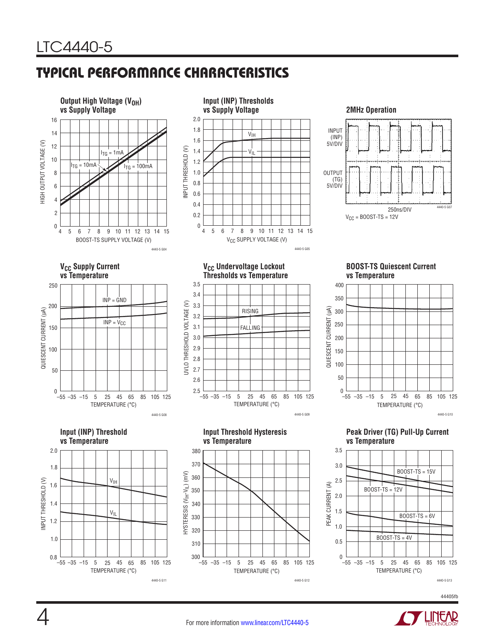# Typical Performance Characteristics



44405fb

4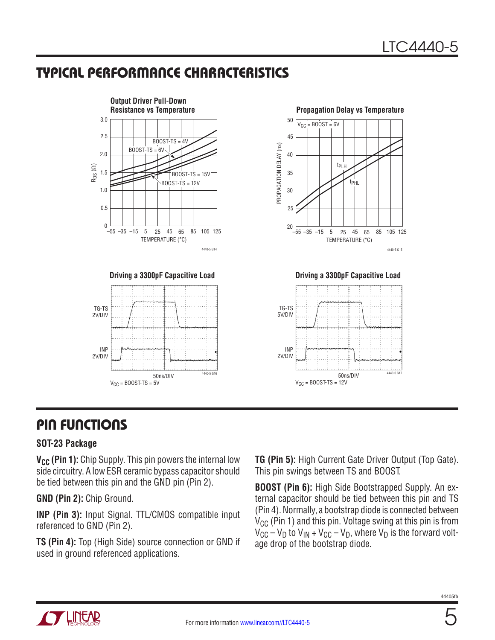# Typical Performance Characteristics



## Pin Functions

#### **SOT-23 Package**

**V<sub>CC</sub>** (Pin 1): Chip Supply. This pin powers the internal low side circuitry. A low ESR ceramic bypass capacitor should be tied between this pin and the GND pin (Pin 2).

**GND (Pin 2):** Chip Ground.

**INP (Pin 3):** Input Signal. TTL/CMOS compatible input referenced to GND (Pin 2).

**TS (Pin 4):** Top (High Side) source connection or GND if used in ground referenced applications.

**TG (Pin 5):** High Current Gate Driver Output (Top Gate). This pin swings between TS and BOOST.

**BOOST (Pin 6):** High Side Bootstrapped Supply. An external capacitor should be tied between this pin and TS (Pin 4). Normally, a bootstrap diode is connected between  $V_{CC}$  (Pin 1) and this pin. Voltage swing at this pin is from  $V_{CC} - V_D$  to  $V_{IN} + V_{CC} - V_D$ , where  $V_D$  is the forward voltage drop of the bootstrap diode.

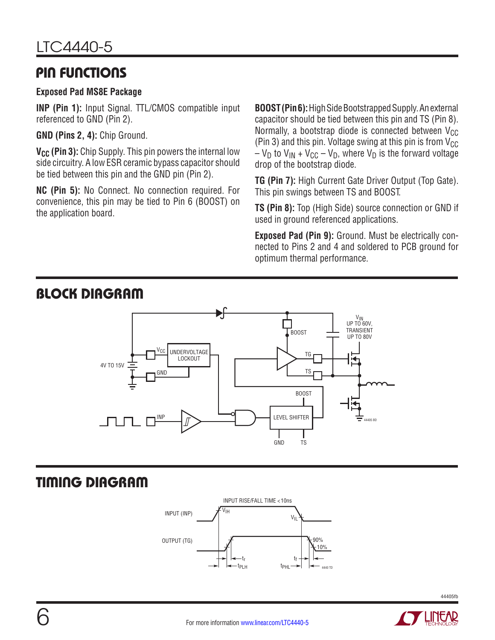### Pin Functions

#### **Exposed Pad MS8E Package**

**INP (Pin 1):** Input Signal. TTL/CMOS compatible input referenced to GND (Pin 2).

**GND (Pins 2, 4):** Chip Ground.

**V<sub>CC</sub>** (Pin 3): Chip Supply. This pin powers the internal low side circuitry. A low ESR ceramic bypass capacitor should be tied between this pin and the GND pin (Pin 2).

**NC (Pin 5):** No Connect. No connection required. For convenience, this pin may be tied to Pin 6 (BOOST) on the application board.

**BOOST (Pin 6):** High Side Bootstrapped Supply. An external capacitor should be tied between this pin and TS (Pin 8). Normally, a bootstrap diode is connected between  $V_{CC}$ (Pin 3) and this pin. Voltage swing at this pin is from  $V_{CC}$  $-V_D$  to  $V_{IN} + V_{CC} - V_D$ , where  $V_D$  is the forward voltage drop of the bootstrap diode.

**TG (Pin 7):** High Current Gate Driver Output (Top Gate). This pin swings between TS and BOOST.

**TS (Pin 8):** Top (High Side) source connection or GND if used in ground referenced applications.

**Exposed Pad (Pin 9):** Ground. Must be electrically connected to Pins 2 and 4 and soldered to PCB ground for optimum thermal performance.



# Timing Diagram





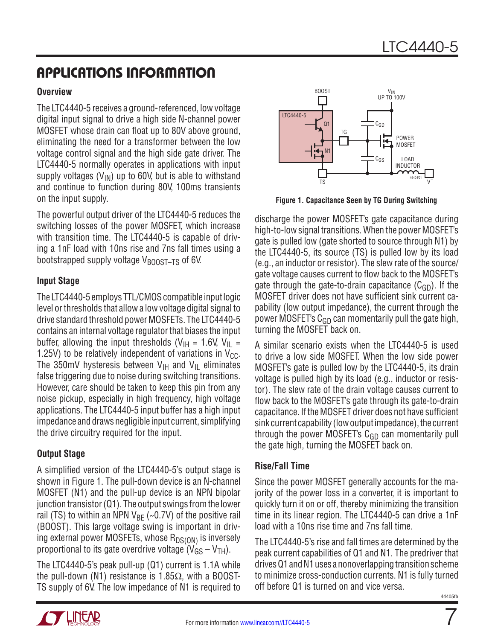# Applications Information

#### **Overview**

The LTC4440-5 receives a ground-referenced, low voltage digital input signal to drive a high side N-channel power MOSFET whose drain can float up to 80V above ground, eliminating the need for a transformer between the low voltage control signal and the high side gate driver. The LTC4440-5 normally operates in applications with input supply voltages  $(V_{IN})$  up to 60V, but is able to withstand and continue to function during 80V, 100ms transients on the input supply.

The powerful output driver of the LTC4440-5 reduces the switching losses of the power MOSFET, which increase with transition time. The LTC4440-5 is capable of driving a 1nF load with 10ns rise and 7ns fall times using a bootstrapped supply voltage V<sub>BOOST-TS</sub> of 6V.

#### **Input Stage**

The LTC4440-5 employs TTL/CMOS compatible input logic level or thresholds that allow a low voltage digital signal to drive standard threshold power MOSFETs. The LTC4440-5 contains an internal voltage regulator that biases the input buffer, allowing the input thresholds ( $V_{\text{H}}$  = 1.6V,  $V_{\text{H}}$  = 1.25V) to be relatively independent of variations in  $V_{CC}$ . The 350mV hysteresis between  $V_{\text{IH}}$  and  $V_{\text{II}}$  eliminates false triggering due to noise during switching transitions. However, care should be taken to keep this pin from any noise pickup, especially in high frequency, high voltage applications. The LTC4440-5 input buffer has a high input impedance and draws negligible input current, simplifying the drive circuitry required for the input.

#### **Output Stage**

A simplified version of the LTC4440-5's output stage is shown in Figure 1. The pull-down device is an N-channel MOSFET (N1) and the pull-up device is an NPN bipolar junction transistor (Q1). The output swings from the lower rail (TS) to within an NPN  $V_{BF}$  (~0.7V) of the positive rail (BOOST). This large voltage swing is important in driving external power MOSFETs, whose  $R_{DS(ON)}$  is inversely proportional to its gate overdrive voltage  $(V_{GS} - V_{TH})$ .

The LTC4440-5's peak pull-up (Q1) current is 1.1A while the pull-down (N1) resistance is 1.85 $Ω$ , with a BOOST-TS supply of 6V. The low impedance of N1 is required to



**Figure 1. Capacitance Seen by TG During Switching**

discharge the power MOSFET's gate capacitance during high-to-low signal transitions. When the power MOSFET's gate is pulled low (gate shorted to source through N1) by the LTC4440-5, its source (TS) is pulled low by its load (e.g., an inductor or resistor). The slew rate of the source/ gate voltage causes current to flow back to the MOSFET's gate through the gate-to-drain capacitance  $(C_{GD})$ . If the MOSFET driver does not have sufficient sink current capability (low output impedance), the current through the power MOSFET's  $C_{GD}$  can momentarily pull the gate high, turning the MOSFET back on.

A similar scenario exists when the LTC4440-5 is used to drive a low side MOSFET. When the low side power MOSFET's gate is pulled low by the LTC4440-5, its drain voltage is pulled high by its load (e.g., inductor or resistor). The slew rate of the drain voltage causes current to flow back to the MOSFET's gate through its gate-to-drain capacitance. If the MOSFET driver does not have sufficient sink current capability (low output impedance), the current through the power MOSFET's  $C_{GD}$  can momentarily pull the gate high, turning the MOSFET back on.

#### **Rise/Fall Time**

Since the power MOSFET generally accounts for the majority of the power loss in a converter, it is important to quickly turn it on or off, thereby minimizing the transition time in its linear region. The LTC4440-5 can drive a 1nF load with a 10ns rise time and 7ns fall time.

The LTC4440-5's rise and fall times are determined by the peak current capabilities of Q1 and N1. The predriver that drives Q1 and N1 uses a nonoverlapping transition scheme to minimize cross-conduction currents. N1 is fully turned off before Q1 is turned on and vice versa.

7

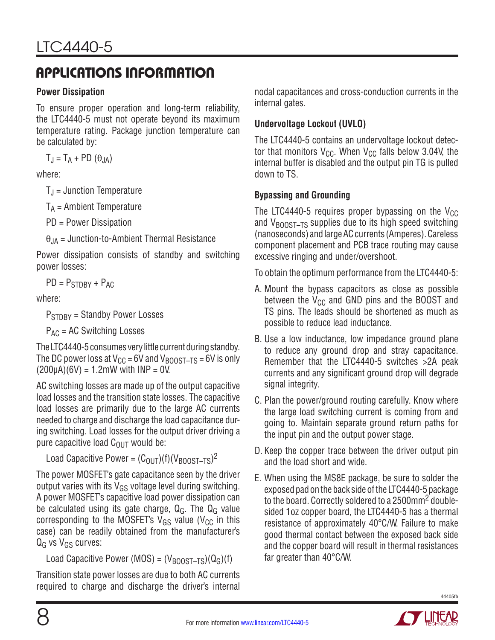# Applications Information

#### **Power Dissipation**

To ensure proper operation and long-term reliability, the LTC4440-5 must not operate beyond its maximum temperature rating. Package junction temperature can be calculated by:

$$
T_J = T_A + PD(\theta_{JA})
$$

where:

 $T_J$  = Junction Temperature

 $T_A$  = Ambient Temperature

PD = Power Dissipation

 $\theta_{JA}$  = Junction-to-Ambient Thermal Resistance

Power dissipation consists of standby and switching power losses:

 $PD = P_{STDRY} + P_{AC}$ 

where:

P<sub>STDBY</sub> = Standby Power Losses

 $P_{AC}$  = AC Switching Losses

The LTC4440-5 consumes very little current during standby. The DC power loss at  $V_{CC}$  = 6V and  $V_{BOOST-TS}$  = 6V is only  $(200\mu A)(6V) = 1.2mW$  with  $INP = 0V$ .

AC switching losses are made up of the output capacitive load losses and the transition state losses. The capacitive load losses are primarily due to the large AC currents needed to charge and discharge the load capacitance during switching. Load losses for the output driver driving a pure capacitive load  $C_{\text{OUT}}$  would be:

Load Capacitive Power =  $(C_{\text{OUT}})(f)(V_{\text{BOOST-TS}})^2$ 

The power MOSFET's gate capacitance seen by the driver output varies with its  $V_{GS}$  voltage level during switching. A power MOSFET's capacitive load power dissipation can be calculated using its gate charge,  $Q_G$ . The  $Q_G$  value corresponding to the MOSFET's  $V_{GS}$  value ( $V_{CC}$  in this case) can be readily obtained from the manufacturer's  $Q_G$  vs  $V_{GS}$  curves:

Load Capacitive Power (MOS) =  $(V_{\text{B00ST-TS}})(Q_G)(f)$ 

Transition state power losses are due to both AC currents required to charge and discharge the driver's internal nodal capacitances and cross-conduction currents in the internal gates.

### **Undervoltage Lockout (UVLO)**

The LTC4440-5 contains an undervoltage lockout detector that monitors  $V_{CC}$ . When  $V_{CC}$  falls below 3.04V, the internal buffer is disabled and the output pin TG is pulled down to TS.

### **Bypassing and Grounding**

The LTC4440-5 requires proper bypassing on the  $V_{CC}$ and  $V_{\text{BODST-TS}}$  supplies due to its high speed switching (nanoseconds) and large AC currents (Amperes). Careless component placement and PCB trace routing may cause excessive ringing and under/overshoot.

To obtain the optimum performance from the LTC4440-5:

- A. Mount the bypass capacitors as close as possible between the  $V_{CC}$  and GND pins and the BOOST and TS pins. The leads should be shortened as much as possible to reduce lead inductance.
- B. Use a low inductance, low impedance ground plane to reduce any ground drop and stray capacitance. Remember that the LTC4440-5 switches >2A peak currents and any significant ground drop will degrade signal integrity.
- C. Plan the power/ground routing carefully. Know where the large load switching current is coming from and going to. Maintain separate ground return paths for the input pin and the output power stage.
- D. Keep the copper trace between the driver output pin and the load short and wide.
- E. When using the MS8E package, be sure to solder the exposed pad on the back side of the LTC4440-5 package to the board. Correctly soldered to a 2500mm2 doublesided 1oz copper board, the LTC4440-5 has a thermal resistance of approximately 40°C/W. Failure to make good thermal contact between the exposed back side and the copper board will result in thermal resistances far greater than 40°C/W.

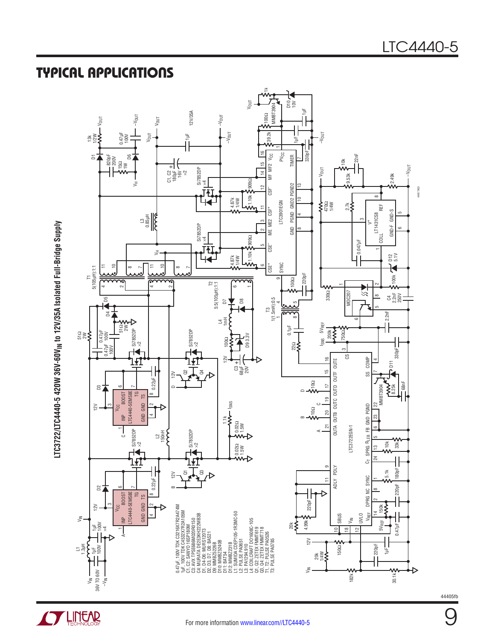### Typical Applications



LTC3722/LTC4440-5 420W 36V-60V<sub>IN</sub> to 12V/35A Isolated Full-Bridge Supply **LTC3722/LTC4440-5 420W 36V-60VIN to 12V/35A Isolated Full-Bridge Supply**

**STARTED LINEAR** 

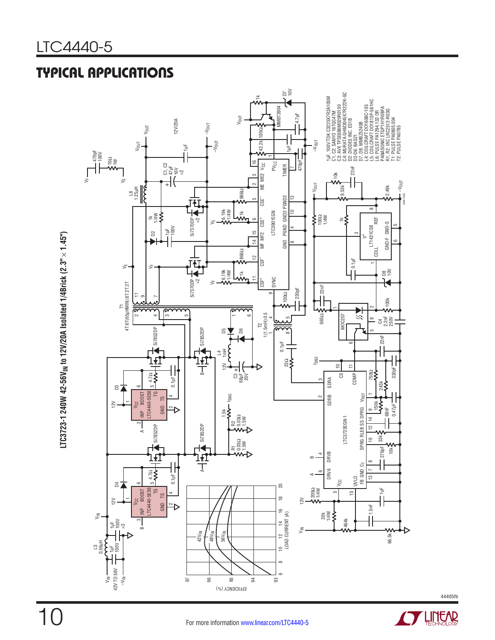# Typical Applications



**LTC3723-1 240W 42-56VIN to 12V/20A Isolated 1/4Brick (2.3"**   $\sf LTC3723-1\;240W\;42-56V_{\textsf{IN}}$  to 12V/20A Isolated 1/4Brick (2.3"  $\times$  1.45")

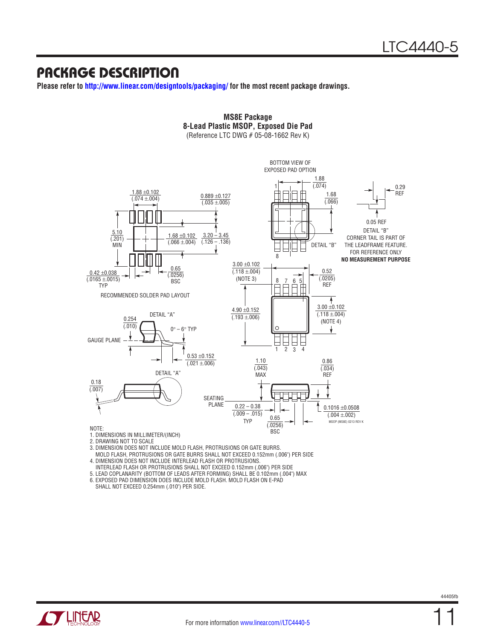### Package Description

**Please refer to http://www.linear.com/designtools/packaging/ for the most recent package drawings.**



**MS8E Package 8-Lead Plastic MSOP, Exposed Die Pad**

2. DRAWING NOT TO SCALE

3. DIMENSION DOES NOT INCLUDE MOLD FLASH, PROTRUSIONS OR GATE BURRS.

- MOLD FLASH, PROTRUSIONS OR GATE BURRS SHALL NOT EXCEED 0.152mm (.006") PER SIDE
- 4. DIMENSION DOES NOT INCLUDE INTERLEAD FLASH OR PROTRUSIONS.
- INTERLEAD FLASH OR PROTRUSIONS SHALL NOT EXCEED 0.152mm (.006") PER SIDE

5. LEAD COPLANARITY (BOTTOM OF LEADS AFTER FORMING) SHALL BE 0.102mm (.004") MAX

6. EXPOSED PAD DIMENSION DOES INCLUDE MOLD FLASH. MOLD FLASH ON E-PAD SHALL NOT EXCEED 0.254mm (.010") PER SIDE.



11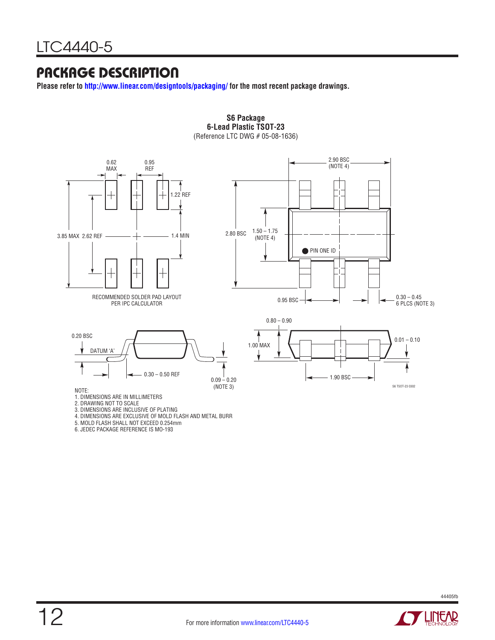### Package Description

**Please refer to http://www.linear.com/designtools/packaging/ for the most recent package drawings.**



**S6 Package 6-Lead Plastic TSOT-23**

6. JEDEC PACKAGE REFERENCE IS MO-193

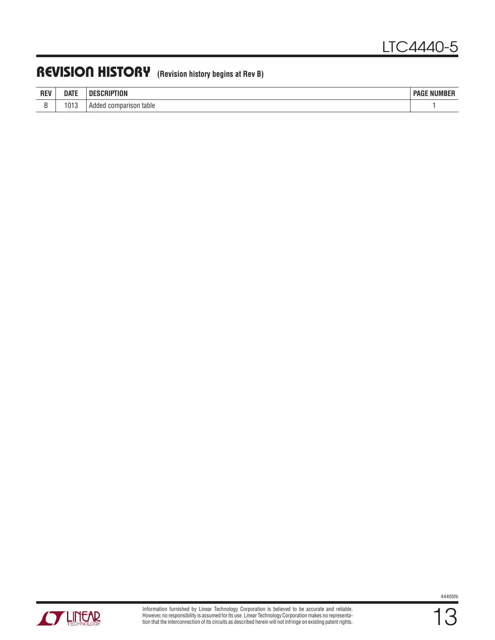### Revision History **(Revision history begins at Rev B)**

| <b>REV</b> | <b>DATE</b> | <b>DESCRI</b><br>I ION    | : NUMBER<br><b>PAGE</b> |
|------------|-------------|---------------------------|-------------------------|
| ∼          | 1013        | table<br>Added comparison |                         |